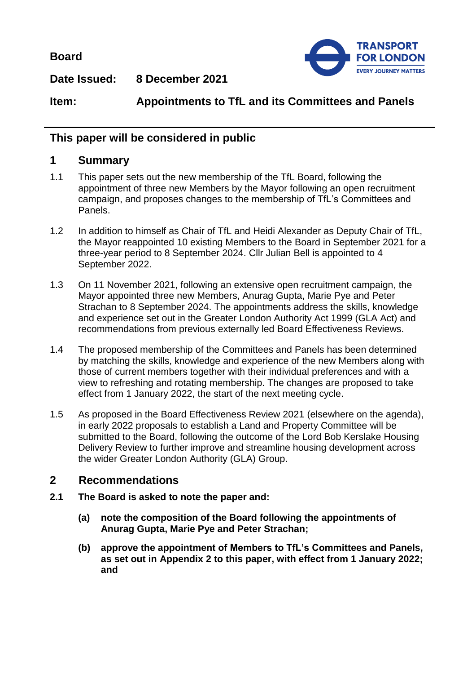**Board**



**Date Issued: 8 December 2021**

**Item: Appointments to TfL and its Committees and Panels**

## **This paper will be considered in public**

### **1 Summary**

- 1.1 This paper sets out the new membership of the TfL Board, following the appointment of three new Members by the Mayor following an open recruitment campaign, and proposes changes to the membership of TfL's Committees and Panels.
- 1.2 In addition to himself as Chair of TfL and Heidi Alexander as Deputy Chair of TfL, the Mayor reappointed 10 existing Members to the Board in September 2021 for a three-year period to 8 September 2024. Cllr Julian Bell is appointed to 4 September 2022.
- 1.3 On 11 November 2021, following an extensive open recruitment campaign, the Mayor appointed three new Members, Anurag Gupta, Marie Pye and Peter Strachan to 8 September 2024. The appointments address the skills, knowledge and experience set out in the Greater London Authority Act 1999 (GLA Act) and recommendations from previous externally led Board Effectiveness Reviews.
- 1.4 The proposed membership of the Committees and Panels has been determined by matching the skills, knowledge and experience of the new Members along with those of current members together with their individual preferences and with a view to refreshing and rotating membership. The changes are proposed to take effect from 1 January 2022, the start of the next meeting cycle.
- 1.5 As proposed in the Board Effectiveness Review 2021 (elsewhere on the agenda), in early 2022 proposals to establish a Land and Property Committee will be submitted to the Board, following the outcome of the Lord Bob Kerslake Housing Delivery Review to further improve and streamline housing development across the wider Greater London Authority (GLA) Group.

## **2 Recommendations**

- **2.1 The Board is asked to note the paper and:**
	- **(a) note the composition of the Board following the appointments of Anurag Gupta, Marie Pye and Peter Strachan;**
	- **(b) approve the appointment of Members to TfL's Committees and Panels, as set out in Appendix 2 to this paper, with effect from 1 January 2022; and**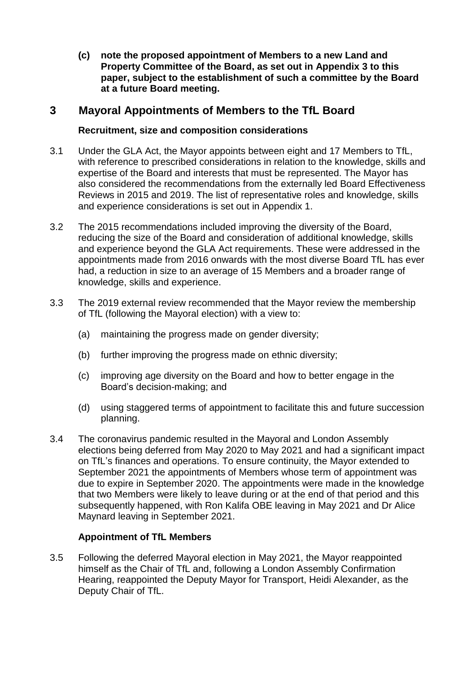**(c) note the proposed appointment of Members to a new Land and Property Committee of the Board, as set out in Appendix 3 to this paper, subject to the establishment of such a committee by the Board at a future Board meeting.** 

## **3 Mayoral Appointments of Members to the TfL Board**

### **Recruitment, size and composition considerations**

- 3.1 Under the GLA Act, the Mayor appoints between eight and 17 Members to TfL, with reference to prescribed considerations in relation to the knowledge, skills and expertise of the Board and interests that must be represented. The Mayor has also considered the recommendations from the externally led Board Effectiveness Reviews in 2015 and 2019. The list of representative roles and knowledge, skills and experience considerations is set out in Appendix 1.
- 3.2 The 2015 recommendations included improving the diversity of the Board, reducing the size of the Board and consideration of additional knowledge, skills and experience beyond the GLA Act requirements. These were addressed in the appointments made from 2016 onwards with the most diverse Board TfL has ever had, a reduction in size to an average of 15 Members and a broader range of knowledge, skills and experience.
- 3.3 The 2019 external review recommended that the Mayor review the membership of TfL (following the Mayoral election) with a view to:
	- (a) maintaining the progress made on gender diversity;
	- (b) further improving the progress made on ethnic diversity;
	- (c) improving age diversity on the Board and how to better engage in the Board's decision-making; and
	- (d) using staggered terms of appointment to facilitate this and future succession planning.
- 3.4 The coronavirus pandemic resulted in the Mayoral and London Assembly elections being deferred from May 2020 to May 2021 and had a significant impact on TfL's finances and operations. To ensure continuity, the Mayor extended to September 2021 the appointments of Members whose term of appointment was due to expire in September 2020. The appointments were made in the knowledge that two Members were likely to leave during or at the end of that period and this subsequently happened, with Ron Kalifa OBE leaving in May 2021 and Dr Alice Maynard leaving in September 2021.

### **Appointment of TfL Members**

3.5 Following the deferred Mayoral election in May 2021, the Mayor reappointed himself as the Chair of TfL and, following a London Assembly Confirmation Hearing, reappointed the Deputy Mayor for Transport, Heidi Alexander, as the Deputy Chair of TfL.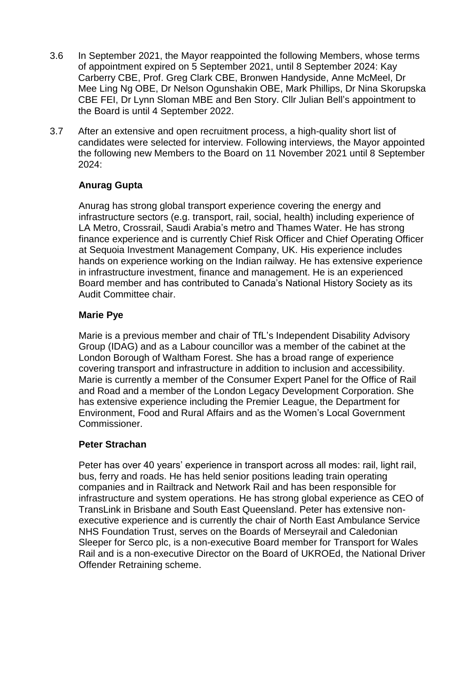- 3.6 In September 2021, the Mayor reappointed the following Members, whose terms of appointment expired on 5 September 2021, until 8 September 2024: Kay Carberry CBE, Prof. Greg Clark CBE, Bronwen Handyside, Anne McMeel, Dr Mee Ling Ng OBE, Dr Nelson Ogunshakin OBE, Mark Phillips, Dr Nina Skorupska CBE FEI, Dr Lynn Sloman MBE and Ben Story. Cllr Julian Bell's appointment to the Board is until 4 September 2022.
- 3.7 After an extensive and open recruitment process, a high-quality short list of candidates were selected for interview. Following interviews, the Mayor appointed the following new Members to the Board on 11 November 2021 until 8 September 2024:

### **Anurag Gupta**

Anurag has strong global transport experience covering the energy and infrastructure sectors (e.g. transport, rail, social, health) including experience of LA Metro, Crossrail, Saudi Arabia's metro and Thames Water. He has strong finance experience and is currently Chief Risk Officer and Chief Operating Officer at Sequoia Investment Management Company, UK. His experience includes hands on experience working on the Indian railway. He has extensive experience in infrastructure investment, finance and management. He is an experienced Board member and has contributed to Canada's National History Society as its Audit Committee chair.

### **Marie Pye**

Marie is a previous member and chair of TfL's Independent Disability Advisory Group (IDAG) and as a Labour councillor was a member of the cabinet at the London Borough of Waltham Forest. She has a broad range of experience covering transport and infrastructure in addition to inclusion and accessibility. Marie is currently a member of the Consumer Expert Panel for the Office of Rail and Road and a member of the London Legacy Development Corporation. She has extensive experience including the Premier League, the Department for Environment, Food and Rural Affairs and as the Women's Local Government Commissioner.

### **Peter Strachan**

Peter has over 40 years' experience in transport across all modes: rail, light rail, bus, ferry and roads. He has held senior positions leading train operating companies and in Railtrack and Network Rail and has been responsible for infrastructure and system operations. He has strong global experience as CEO of TransLink in Brisbane and South East Queensland. Peter has extensive nonexecutive experience and is currently the chair of North East Ambulance Service NHS Foundation Trust, serves on the Boards of Merseyrail and Caledonian Sleeper for Serco plc, is a non-executive Board member for Transport for Wales Rail and is a non-executive Director on the Board of UKROEd, the National Driver Offender Retraining scheme.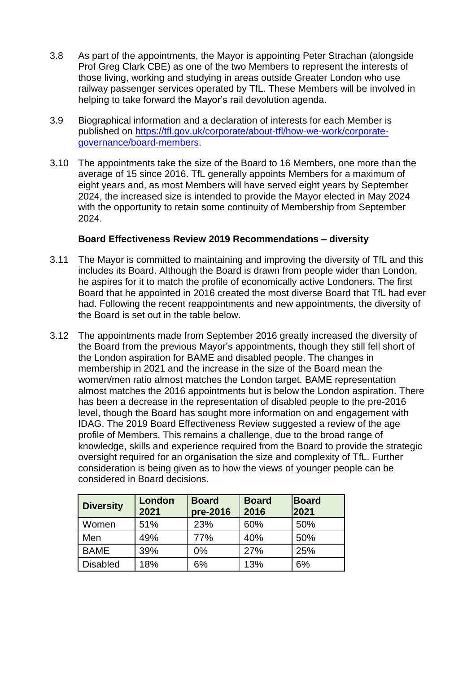- 3.8 As part of the appointments, the Mayor is appointing Peter Strachan (alongside Prof Greg Clark CBE) as one of the two Members to represent the interests of those living, working and studying in areas outside Greater London who use railway passenger services operated by TfL. These Members will be involved in helping to take forward the Mayor's rail devolution agenda.
- 3.9 Biographical information and a declaration of interests for each Member is published on [https://tfl.gov.uk/corporate/about-tfl/how-we-work/corporate](https://tfl.gov.uk/corporate/about-tfl/how-we-work/corporate-governance/board-members)[governance/board-members.](https://tfl.gov.uk/corporate/about-tfl/how-we-work/corporate-governance/board-members)
- 3.10 The appointments take the size of the Board to 16 Members, one more than the average of 15 since 2016. TfL generally appoints Members for a maximum of eight years and, as most Members will have served eight years by September 2024, the increased size is intended to provide the Mayor elected in May 2024 with the opportunity to retain some continuity of Membership from September 2024.

#### **Board Effectiveness Review 2019 Recommendations – diversity**

- 3.11 The Mayor is committed to maintaining and improving the diversity of TfL and this includes its Board. Although the Board is drawn from people wider than London, he aspires for it to match the profile of economically active Londoners. The first Board that he appointed in 2016 created the most diverse Board that TfL had ever had. Following the recent reappointments and new appointments, the diversity of the Board is set out in the table below.
- 3.12 The appointments made from September 2016 greatly increased the diversity of the Board from the previous Mayor's appointments, though they still fell short of the London aspiration for BAME and disabled people. The changes in membership in 2021 and the increase in the size of the Board mean the women/men ratio almost matches the London target. BAME representation almost matches the 2016 appointments but is below the London aspiration. There has been a decrease in the representation of disabled people to the pre-2016 level, though the Board has sought more information on and engagement with IDAG. The 2019 Board Effectiveness Review suggested a review of the age profile of Members. This remains a challenge, due to the broad range of knowledge, skills and experience required from the Board to provide the strategic oversight required for an organisation the size and complexity of TfL. Further consideration is being given as to how the views of younger people can be considered in Board decisions.

| <b>Diversity</b> | London<br>2021 | <b>Board</b><br>pre-2016 | <b>Board</b><br>2016 | <b>Board</b><br>2021 |
|------------------|----------------|--------------------------|----------------------|----------------------|
| Women            | 51%            | 23%                      | 60%                  | 50%                  |
| Men              | 49%            | 77%                      | 40%                  | 50%                  |
| <b>BAME</b>      | 39%            | $0\%$                    | 27%                  | 25%                  |
| <b>Disabled</b>  | 18%            | 6%                       | 13%                  | 6%                   |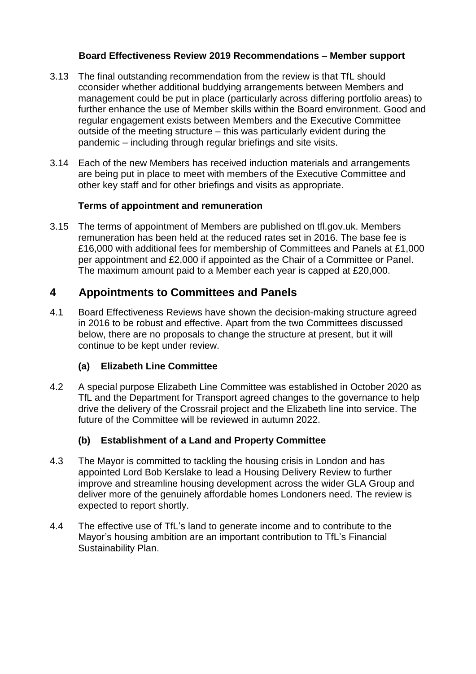### **Board Effectiveness Review 2019 Recommendations – Member support**

- 3.13 The final outstanding recommendation from the review is that TfL should cconsider whether additional buddying arrangements between Members and management could be put in place (particularly across differing portfolio areas) to further enhance the use of Member skills within the Board environment. Good and regular engagement exists between Members and the Executive Committee outside of the meeting structure – this was particularly evident during the pandemic – including through regular briefings and site visits.
- 3.14 Each of the new Members has received induction materials and arrangements are being put in place to meet with members of the Executive Committee and other key staff and for other briefings and visits as appropriate.

## **Terms of appointment and remuneration**

3.15 The terms of appointment of Members are published on tfl.gov.uk. Members remuneration has been held at the reduced rates set in 2016. The base fee is £16,000 with additional fees for membership of Committees and Panels at £1,000 per appointment and £2,000 if appointed as the Chair of a Committee or Panel. The maximum amount paid to a Member each year is capped at £20,000.

## **4 Appointments to Committees and Panels**

4.1 Board Effectiveness Reviews have shown the decision-making structure agreed in 2016 to be robust and effective. Apart from the two Committees discussed below, there are no proposals to change the structure at present, but it will continue to be kept under review.

## **(a) Elizabeth Line Committee**

4.2 A special purpose Elizabeth Line Committee was established in October 2020 as TfL and the Department for Transport agreed changes to the governance to help drive the delivery of the Crossrail project and the Elizabeth line into service. The future of the Committee will be reviewed in autumn 2022.

## **(b) Establishment of a Land and Property Committee**

- 4.3 The Mayor is committed to tackling the housing crisis in London and has appointed Lord Bob Kerslake to lead a Housing Delivery Review to further improve and streamline housing development across the wider GLA Group and deliver more of the genuinely affordable homes Londoners need. The review is expected to report shortly.
- 4.4 The effective use of TfL's land to generate income and to contribute to the Mayor's housing ambition are an important contribution to TfL's Financial Sustainability Plan.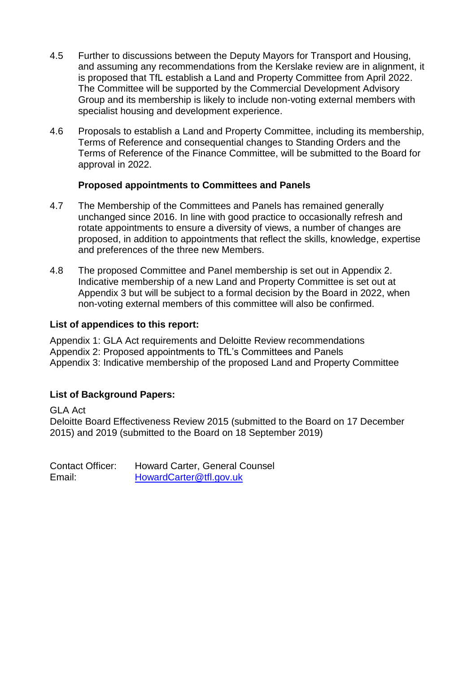- 4.5 Further to discussions between the Deputy Mayors for Transport and Housing, and assuming any recommendations from the Kerslake review are in alignment, it is proposed that TfL establish a Land and Property Committee from April 2022. The Committee will be supported by the Commercial Development Advisory Group and its membership is likely to include non-voting external members with specialist housing and development experience.
- 4.6 Proposals to establish a Land and Property Committee, including its membership, Terms of Reference and consequential changes to Standing Orders and the Terms of Reference of the Finance Committee, will be submitted to the Board for approval in 2022.

### **Proposed appointments to Committees and Panels**

- 4.7 The Membership of the Committees and Panels has remained generally unchanged since 2016. In line with good practice to occasionally refresh and rotate appointments to ensure a diversity of views, a number of changes are proposed, in addition to appointments that reflect the skills, knowledge, expertise and preferences of the three new Members.
- 4.8 The proposed Committee and Panel membership is set out in Appendix 2. Indicative membership of a new Land and Property Committee is set out at Appendix 3 but will be subject to a formal decision by the Board in 2022, when non-voting external members of this committee will also be confirmed.

#### **List of appendices to this report:**

Appendix 1: GLA Act requirements and Deloitte Review recommendations Appendix 2: Proposed appointments to TfL's Committees and Panels Appendix 3: Indicative membership of the proposed Land and Property Committee

### **List of Background Papers:**

GLA Act Deloitte Board Effectiveness Review 2015 (submitted to the Board on 17 December 2015) and 2019 (submitted to the Board on 18 September 2019)

Contact Officer: Howard Carter, General Counsel Email: [HowardCarter@tfl.gov.uk](mailto:HowardCarter@tfl.gov.uk)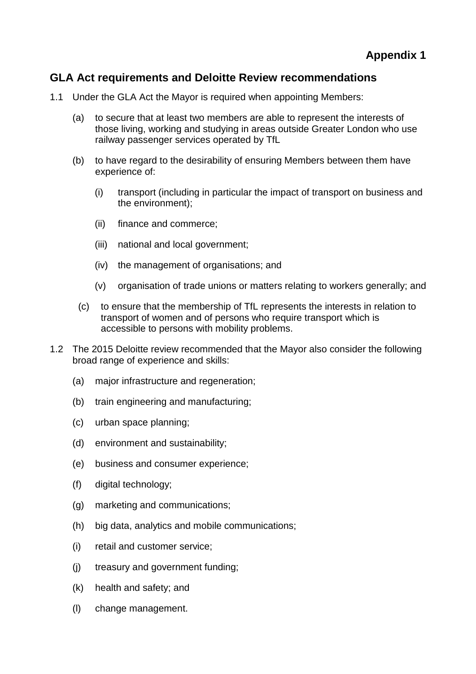## **GLA Act requirements and Deloitte Review recommendations**

- 1.1 Under the GLA Act the Mayor is required when appointing Members:
	- (a) to secure that at least two members are able to represent the interests of those living, working and studying in areas outside Greater London who use railway passenger services operated by TfL
	- (b) to have regard to the desirability of ensuring Members between them have experience of:
		- (i) transport (including in particular the impact of transport on business and the environment);
		- (ii) finance and commerce;
		- (iii) national and local government;
		- (iv) the management of organisations; and
		- (v) organisation of trade unions or matters relating to workers generally; and
		- (c) to ensure that the membership of TfL represents the interests in relation to transport of women and of persons who require transport which is accessible to persons with mobility problems.
- 1.2 The 2015 Deloitte review recommended that the Mayor also consider the following broad range of experience and skills:
	- (a) major infrastructure and regeneration;
	- (b) train engineering and manufacturing;
	- (c) urban space planning;
	- (d) environment and sustainability;
	- (e) business and consumer experience;
	- (f) digital technology;
	- (g) marketing and communications;
	- (h) big data, analytics and mobile communications;
	- (i) retail and customer service;
	- (j) treasury and government funding;
	- (k) health and safety; and
	- (l) change management.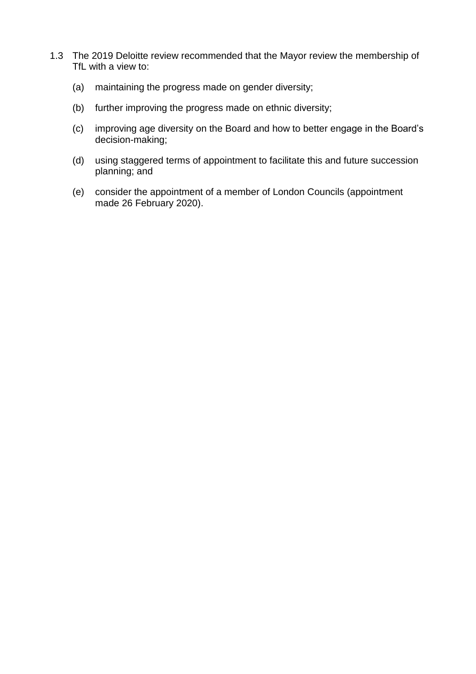- 1.3 The 2019 Deloitte review recommended that the Mayor review the membership of TfL with a view to:
	- (a) maintaining the progress made on gender diversity;
	- (b) further improving the progress made on ethnic diversity;
	- (c) improving age diversity on the Board and how to better engage in the Board's decision-making;
	- (d) using staggered terms of appointment to facilitate this and future succession planning; and
	- (e) consider the appointment of a member of London Councils (appointment made 26 February 2020).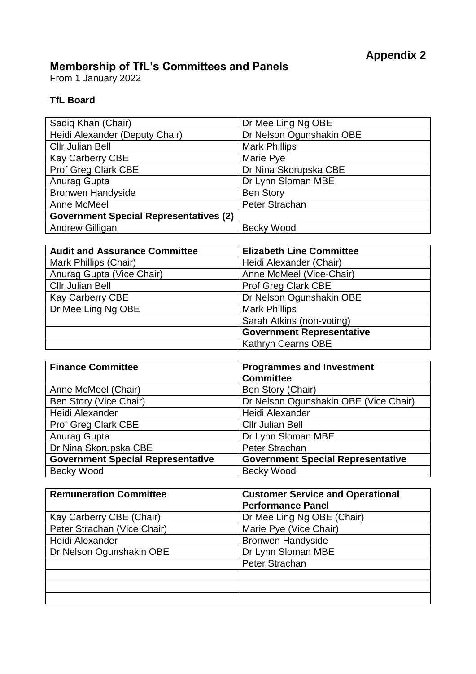## **Membership of TfL's Committees and Panels**

From 1 January 2022

## **TfL Board**

| Sadiq Khan (Chair)                            | Dr Mee Ling Ng OBE       |
|-----------------------------------------------|--------------------------|
| Heidi Alexander (Deputy Chair)                | Dr Nelson Ogunshakin OBE |
| <b>Cllr Julian Bell</b>                       | <b>Mark Phillips</b>     |
| <b>Kay Carberry CBE</b>                       | Marie Pye                |
| Prof Greg Clark CBE                           | Dr Nina Skorupska CBE    |
| Anurag Gupta                                  | Dr Lynn Sloman MBE       |
| <b>Bronwen Handyside</b>                      | <b>Ben Story</b>         |
| Anne McMeel                                   | Peter Strachan           |
| <b>Government Special Representatives (2)</b> |                          |
| <b>Andrew Gilligan</b>                        | <b>Becky Wood</b>        |

| <b>Audit and Assurance Committee</b> | <b>Elizabeth Line Committee</b>  |
|--------------------------------------|----------------------------------|
| Mark Phillips (Chair)                | Heidi Alexander (Chair)          |
| Anurag Gupta (Vice Chair)            | Anne McMeel (Vice-Chair)         |
| <b>Cllr Julian Bell</b>              | Prof Greg Clark CBE              |
| <b>Kay Carberry CBE</b>              | Dr Nelson Ogunshakin OBE         |
| Dr Mee Ling Ng OBE                   | <b>Mark Phillips</b>             |
|                                      | Sarah Atkins (non-voting)        |
|                                      | <b>Government Representative</b> |
|                                      | Kathryn Cearns OBE               |

| <b>Finance Committee</b>                 | <b>Programmes and Investment</b>         |  |
|------------------------------------------|------------------------------------------|--|
|                                          | <b>Committee</b>                         |  |
| Anne McMeel (Chair)                      | Ben Story (Chair)                        |  |
| Ben Story (Vice Chair)                   | Dr Nelson Ogunshakin OBE (Vice Chair)    |  |
| Heidi Alexander                          | Heidi Alexander                          |  |
| <b>Prof Greg Clark CBE</b>               | <b>Cllr Julian Bell</b>                  |  |
| Anurag Gupta                             | Dr Lynn Sloman MBE                       |  |
| Dr Nina Skorupska CBE                    | Peter Strachan                           |  |
| <b>Government Special Representative</b> | <b>Government Special Representative</b> |  |
| <b>Becky Wood</b>                        | <b>Becky Wood</b>                        |  |

| <b>Remuneration Committee</b> | <b>Customer Service and Operational</b> |  |
|-------------------------------|-----------------------------------------|--|
|                               | <b>Performance Panel</b>                |  |
| Kay Carberry CBE (Chair)      | Dr Mee Ling Ng OBE (Chair)              |  |
| Peter Strachan (Vice Chair)   | Marie Pye (Vice Chair)                  |  |
| Heidi Alexander               | <b>Bronwen Handyside</b>                |  |
| Dr Nelson Ogunshakin OBE      | Dr Lynn Sloman MBE                      |  |
|                               | Peter Strachan                          |  |
|                               |                                         |  |
|                               |                                         |  |
|                               |                                         |  |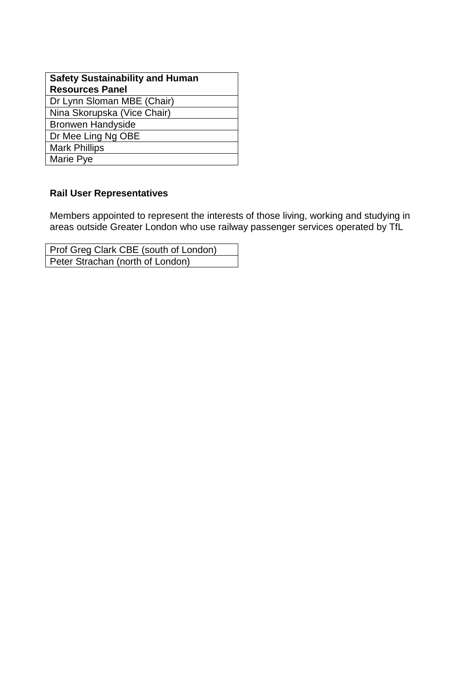| <b>Safety Sustainability and Human</b> |
|----------------------------------------|
| <b>Resources Panel</b>                 |
| Dr Lynn Sloman MBE (Chair)             |
| Nina Skorupska (Vice Chair)            |
| <b>Bronwen Handyside</b>               |
| Dr Mee Ling Ng OBE                     |
| <b>Mark Phillips</b>                   |
| Marie Pye                              |
|                                        |

### **Rail User Representatives**

Members appointed to represent the interests of those living, working and studying in areas outside Greater London who use railway passenger services operated by TfL

Prof Greg Clark CBE (south of London) Peter Strachan (north of London)